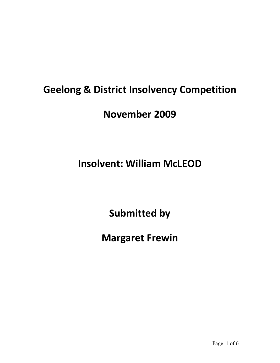# **Geelong & District Insolvency Competition**

### **November 2009**

# **Insolvent: William McLEOD**

**Submitted by**

**Margaret Frewin**

Page 1 of 6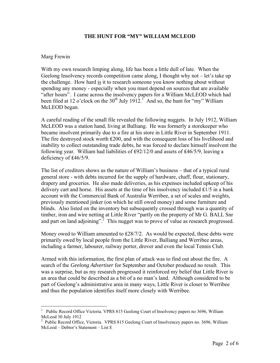#### **THE HUNT FOR "MY" WILLIAM MCLEOD**

#### Marg Frewin

 $\overline{a}$ 

With my own research limping along, life has been a little dull of late. When the Geelong Insolvency records competition came along, I thought why not – let's take up the challenge. How hard is it to research someone you know nothing about without spending any money - especially when you must depend on sources that are available "after hours". I came across the insolvency papers for a William McLEOD which had been filed at 12 o'clock on the  $30<sup>th</sup>$  July 1912.<sup>1</sup> And so, the hunt for "my" William McLEOD began.

A careful reading of the small file revealed the following nuggets. In July 1912, William McLEOD was a station hand, living at Balliang. He was formerly a storekeeper who became insolvent primarily due to a fire at his store in Little River in September 1911. The fire destroyed stock worth £200, and with the consequent loss of his livelihood and inability to collect outstanding trade debts, he was forced to declare himself insolvent the following year. William had liabilities of £92/12/0 and assets of £46/5/9, leaving a deficiency of ₤46/5/9.

The list of creditors shows us the nature of William's business – that of a typical rural general store - with debts incurred for the supply of hardware, chaff, flour, stationary, drapery and groceries. He also made deliveries, as his expenses included upkeep of his delivery cart and horse. His assets at the time of his insolvency included  $£1/5$  in a bank account with the Commercial Bank of Australia Werribee, a set of scales and weights, previously mentioned jinker (on which he still owed money) and some furniture and blinds. Also listed on the inventory but subsequently crossed through was a quantity of timber, iron and wire netting at Little River "partly on the property of Mr G. BALL Snr and part on land adjoining".<sup>2</sup> This nugget was to prove of value as research progressed.

Money owed to William amounted to  $£28/7/2$ . As would be expected, these debts were primarily owed by local people from the Little River, Balliang and Werribee areas, including a farmer, labourer, railway porter, drover and even the local Tennis Club.

Armed with this information, the first plan of attack was to find out about the fire. A search of the *Geelong Advertiser* for September and October produced no result. This was a surprise, but as my research progressed it reinforced my belief that Little River is an area that could be described as a bit of a no man's land. Although considered to be part of Geelong's administrative area in many ways, Little River is closer to Werribee and thus the population identifies itself more closely with Werribee.

<sup>1</sup> Public Record Office Victoria. VPRS 815 Geelong Court of Insolvency papers no 3696, William McLeod 30 July 1912

<sup>&</sup>lt;sup>2</sup> Public Record Office, Victoria. VPRS 815 Geelong Court of Insolvencey papers no. 3696, William McLeod – Debtor's Statement – List E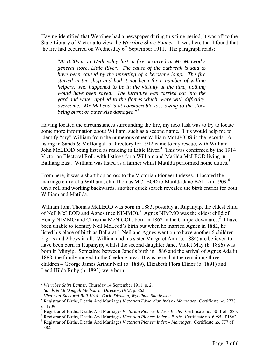Having identified that Werribee had a newspaper during this time period, it was off to the State Library of Victoria to view the *Werribee Shire Banner*. It was here that I found that the fire had occurred on Wednesday  $6<sup>th</sup>$  September 1911. The paragraph reads:

"*At 8.30pm on Wednesday last, a fire occurred at Mr McLeod's general store, Little River. The cause of the outbreak is said to have been caused by the upsetting of a kerosene lamp. The fire started in the shop and had it not been for a number of willing helpers, who happened to be in the vicinity at the time, nothing would have been saved. The furniture was carried out into the yard and water applied to the flames which, were with difficulty, overcome. Mr McLeod is at considerable loss owing to the stock being burnt or otherwise damaged*."<sup>3</sup>

Having located the circumstances surrounding the fire, my next task was to try to locate some more information about William, such as a second name. This would help me to identify "my" William from the numerous other William McLEODS in the records. A listing in Sands & McDougall's Directory for 1912 came to my rescue, with William John McLEOD being listed as residing in Little River.<sup>4</sup> This was confirmed by the 1914 Victorian Electoral Roll, with listings for a William and Matilda McLEOD living in Balliang East. William was listed as a farmer whilst Matilda performed home duties.<sup>5</sup>

From here, it was a short hop across to the Victorian Pioneer Indexes. I located the marriage entry of a William John Thomas MCLEOD to Matilda Jane BALL in 1909.<sup>6</sup> On a roll and working backwards, another quick search revealed the birth entries for both William and Matilda.

William John Thomas McLEOD was born in 1883, possibly at Rupanyip, the eldest child of Neil McLEOD and Agnes (nee NIMMO).<sup>7</sup> Agnes NIMMO was the eldest child of Henry NIMMO and Christina McNICOL, born in 1862 in the Camperdown area.<sup>8</sup> I have been unable to identify Neil McLeod's birth but when he married Agnes in 1882, he listed his place of birth as Ballarat.<sup>9</sup> Neil and Agnes went on to have another 6 children -5 girls and 2 boys in all. William and his sister Margaret Ann (b. 1884) are believed to have been born in Rupanyip, whilst the second daughter Janet Violet May (b. 1886) was born in Minyip. Sometime between Janet's birth in 1886 and the arrival of Agnes Ada in 1888, the family moved to the Geelong area. It was here that the remaining three children – George James Arthur Neil (b. 1889), Elizabeth Flora Elinor (b. 1891) and Leod Hilda Ruby (b. 1893) were born.

 $\overline{a}$ 

<sup>&</sup>lt;sup>3</sup> *Werribee Shire Banner*, Thursday 14 September 1911, p. 2.<br><sup>4</sup> *Sands & McDougall Melbourne Directory1912*, p. 862<br><sup>5</sup> *Victorian Electoral Roll 1914. Corio Division, Wyndham Subdivison.* 

<sup>6</sup> Registrar of Births, Deaths And Marriages *Victorian Edwardian Index* - *Marriages*. Certificate no. 2778 of 1909

<sup>7</sup> Registrar of Births, Deaths And Marriages *Victorian Pioneer Index - Births.* Certificate no. 5011 of 1883. 8

Registrar of Births, Deaths And Marriages *Victorian Pioneer Index – Births*. Certificate no. 6985 of 1862 9

Registrar of Births, Deaths And Marriages *Victorian Pioneer Index – Marriages*. Certificate no. 777 of 1882.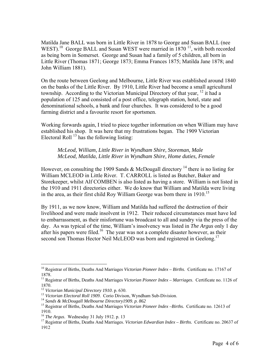Matilda Jane BALL was born in Little River in 1878 to George and Susan BALL (nee WEST).<sup>10</sup> George BALL and Susan WEST were married in  $1870$  <sup>11</sup>, with both recorded as being born in Somerset. George and Susan had a family of 5 children, all born in Little River (Thomas 1871; George 1873; Emma Frances 1875; Matilda Jane 1878; and John William 1881).

On the route between Geelong and Melbourne, Little River was established around 1840 on the banks of the Little River. By 1910, Little River had become a small agricultural township. According to the Victorian Municipal Directory of that year, <sup>12</sup> it had a population of 125 and consisted of a post office, telegraph station, hotel, state and denominational schools, a bank and four churches. It was considered to be a good farming district and a favourite resort for sportsmen.

Working forwards again, I tried to piece together information on when William may have established his shop. It was here that my frustrations began. The 1909 Victorian Electoral Roll  $^{13}$  has the following listing:

*McLeod, William, Little River in Wyndham Shire, Storeman, Male McLeod, Matilda, Little River in Wyndham Shire, Home duties, Female* 

However, on consulting the 1909 Sands & McDougall directory <sup>14</sup> there is no listing for William MCLEOD in Little River. T. CARROLL is listed as Butcher, Baker and Storekeeper, whilst Alf COMBEN is also listed as having a store. William is not listed in the 1910 and 1911 directories either. We do know that William and Matilda were living in the area, as their first child Roy William George was born there in  $1910$ <sup>15</sup>

By 1911, as we now know, William and Matilda had suffered the destruction of their livelihood and were made insolvent in 1912. Their reduced circumstances must have led to embarrassment, as their misfortune was broadcast to all and sundry via the press of the day. As was typical of the time, William's insolvency was listed in *The Argus* only 1 day after his papers were filed.<sup>16</sup> The year was not a complete disaster however, as their second son Thomas Hector Neil McLEOD was born and registered in Geelong.<sup>17</sup>

1

<sup>10</sup> Registrar of Births, Deaths And Marriages *Victorian Pioneer Index – Births*. Certificate no. 17167 of 1878.

<sup>11</sup> Registrar of Births, Deaths And Marriages *Victorian Pioneer Index – Marriages*. Certificate no. 1126 of 1870.<br><sup>12</sup> Victorian Municipal Directory 1910. p. 630.

<sup>&</sup>lt;sup>13</sup> Victorian Electoral Roll 1909. Corio Divison, Wyndham Sub-Division.<br><sup>14</sup> Sands & McDougall Melbourne Directory 1909. p. 862<br><sup>15</sup> Registrar of Births, Deaths And Marriages Victorian Pioneer Index –Births. Certificate 1910.<br><sup>16</sup> *The Argus.* Wednesday 31 July 1912. p. 13

<sup>&</sup>lt;sup>17</sup> Registrar of Births, Deaths And Marriages. *Victorian Edwardian Index – Births.* Certificate no. 20637 of 1912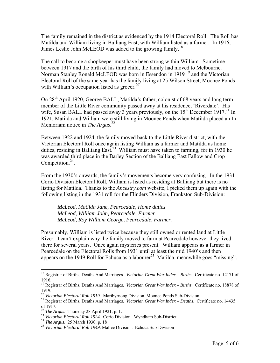The family remained in the district as evidenced by the 1914 Electoral Roll. The Roll has Matilda and William living in Balliang East, with William listed as a farmer. In 1916, James Leslie John McLEOD was added to the growing family.<sup>18</sup>

The call to become a shopkeeper must have been strong within William. Sometime between 1917 and the birth of his third child, the family had moved to Melbourne. Norman Stanley Ronald McLEOD was born in Essendon in 1919<sup>19</sup> and the Victorian Electoral Roll of the same year has the family living at 25 Wilson Street, Moonee Ponds with William's occupation listed as grocer. $20$ 

On 28th April 1920, George BALL, Matilda's father, colonist of 68 years and long term member of the Little River community passed away at his residence, 'Riverdale'. His wife, Susan BALL had passed away 3 years previously, on the  $15<sup>th</sup>$  December 1917.<sup>21</sup> In 1921, Matilda and William were still living in Moonee Ponds when Matilda placed an In Memoriam notice in *The Argus*. 22

Between 1922 and 1924, the family moved back to the Little River district, with the Victorian Electoral Roll once again listing William as a farmer and Matilda as home duties, residing in Balliang East.<sup>23</sup> William must have taken to farming, for in 1930 he was awarded third place in the Barley Section of the Balliang East Fallow and Crop Competition. $24$ .

From the 1930's onwards, the family's movements become very confusing. In the 1931 Corio Division Electoral Roll, William is listed as residing at Balliang but there is no listing for Matilda. Thanks to the *Ancestry.com* website, I picked them up again with the following listing in the 1931 roll for the Flinders Division, Frankston Sub-Division:

*McLeod, Matilda Jane, Pearcedale, Home duties McLeod, William John, Pearcedale, Farmer McLeod, Roy William George, Pearcedale, Farmer.* 

Presumably, William is listed twice because they still owned or rented land at Little River. I can't explain why the family moved to farm at Pearcedale however they lived there for several years. Once again mysteries present. William appears as a farmer in Pearcedale on the Electoral Rolls from 1931 until at least the mid 1940's and then appears on the 1949 Roll for Echuca as a labourer<sup>25</sup> Matilda, meanwhile goes "missing".

 $\overline{a}$ 

<sup>18</sup> Registrar of Births, Deaths And Marriages. *Victorian Great War Index – Births*. Certificate no. 12171 of 1916.

<sup>19</sup> Registrar of Births, Deaths And Marriages. *Victorian Great War Index – Births.* Certificate no. 18878 of

<sup>1919.&</sup>lt;br><sup>20</sup> Victorian Electoral Roll 1919. Maribyrnong Division. Moonee Ponds Sub-Division.

<sup>&</sup>lt;sup>21</sup> Registrar of Births, Deaths And Marriages. *Victorian Great War Index – Deaths.* Certificate no. 14435 of 1917.<br><sup>22</sup> The Argus. Thursday 28 April 1921, p. 1.

<sup>&</sup>lt;sup>23</sup> Victorian Electoral Roll 1924. Corio Division. Wyndham Sub-District.<br><sup>24</sup> The Argus. 25 March 1930. p. 18<br><sup>25</sup> Victorian Electoral Roll 1949. Mallee Division. Echuca Sub-Division